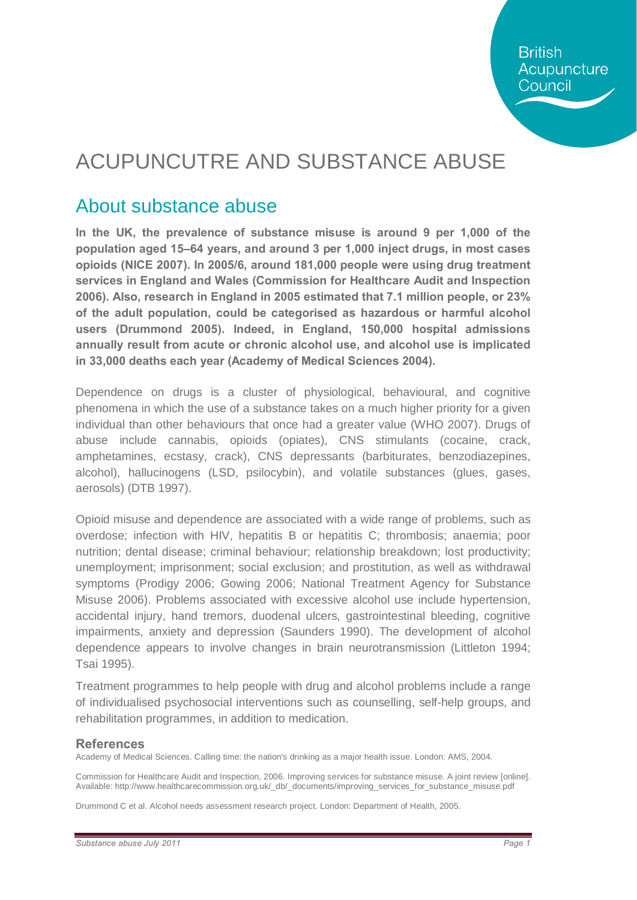**British** Acupuncture Council

# ACUPUNCUTRE AND SUBSTANCE ABUSE

### About substance abuse

**In the UK, the prevalence of substance misuse is around 9 per 1,000 of the population aged 15–64 years, and around 3 per 1,000 inject drugs, in most cases opioids (NICE 2007). In 2005/6, around 181,000 people were using drug treatment services in England and Wales (Commission for Healthcare Audit and Inspection 2006). Also, research in England in 2005 estimated that 7.1 million people, or 23% of the adult population, could be categorised as hazardous or harmful alcohol users (Drummond 2005). Indeed, in England, 150,000 hospital admissions annually result from acute or chronic alcohol use, and alcohol use is implicated in 33,000 deaths each year (Academy of Medical Sciences 2004).**

Dependence on drugs is a cluster of physiological, behavioural, and cognitive phenomena in which the use of a substance takes on a much higher priority for a given individual than other behaviours that once had a greater value (WHO 2007). Drugs of abuse include cannabis, opioids (opiates), CNS stimulants (cocaine, crack, amphetamines, ecstasy, crack), CNS depressants (barbiturates, benzodiazepines, alcohol), hallucinogens (LSD, psilocybin), and volatile substances (glues, gases, aerosols) (DTB 1997).

Opioid misuse and dependence are associated with a wide range of problems, such as overdose; infection with HIV, hepatitis B or hepatitis C; thrombosis; anaemia; poor nutrition; dental disease; criminal behaviour; relationship breakdown; lost productivity; unemployment; imprisonment; social exclusion; and prostitution, as well as withdrawal symptoms (Prodigy 2006; Gowing 2006; National Treatment Agency for Substance Misuse 2006). Problems associated with excessive alcohol use include hypertension, accidental injury, hand tremors, duodenal ulcers, gastrointestinal bleeding, cognitive impairments, anxiety and depression (Saunders 1990). The development of alcohol dependence appears to involve changes in brain neurotransmission (Littleton 1994; Tsai 1995).

Treatment programmes to help people with drug and alcohol problems include a range of individualised psychosocial interventions such as counselling, self-help groups, and rehabilitation programmes, in addition to medication.

### **References**

Academy of Medical Sciences. Calling time: the nation's drinking as a major health issue. London: AMS, 2004.

Commission for Healthcare Audit and Inspection, 2006. Improving services for substance misuse. A joint review [online]. Available: http://www.healthcarecommission.org.uk/\_db/\_documents/improving\_services\_for\_substance\_misuse.pdf

Drummond C et al. Alcohol needs assessment research project. London: Department of Health, 2005.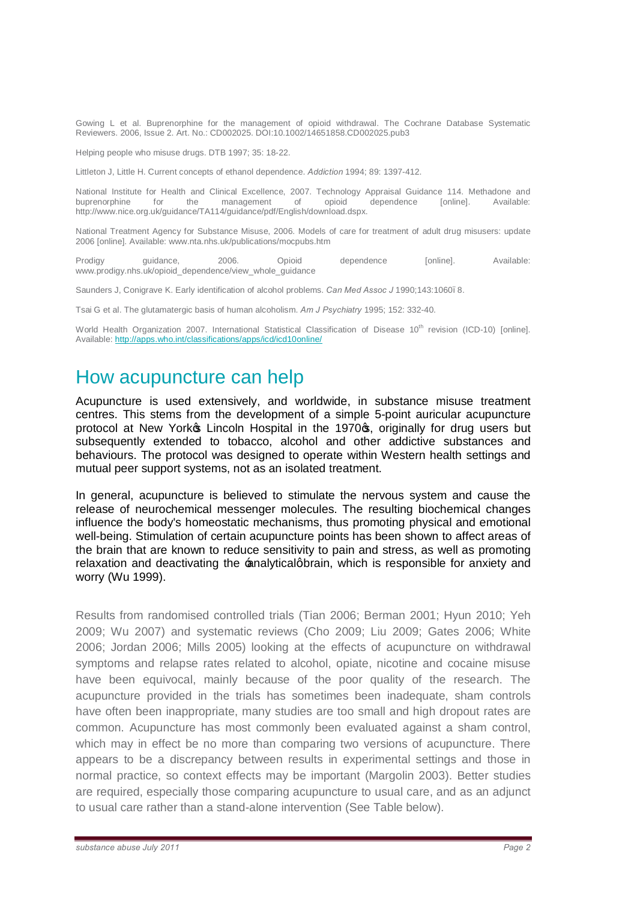Gowing L et al. Buprenorphine for the management of opioid withdrawal. The Cochrane Database Systematic Reviewers. 2006, Issue 2. Art. No.: CD002025. DOI:10.1002/14651858.CD002025.pub3

Helping people who misuse drugs. DTB 1997; 35: 18-22.

Littleton J, Little H. Current concepts of ethanol dependence. *Addiction* 1994; 89: 1397-412.

National Institute for Health and Clinical Excellence, 2007. Technology Appraisal Guidance 114. Methadone and<br>
buprenorphine in the management of opioid dependence [online]. Available: buprenorphine for the management of opioid dependence [online]. Available: http://www.nice.org.uk/guidance/TA114/guidance/pdf/English/download.dspx.

National Treatment Agency for Substance Misuse, 2006. Models of care for treatment of adult drug misusers: update 2006 [online]. Available: www.nta.nhs.uk/publications/mocpubs.htm

Prodigy guidance, 2006. Opioid dependence [online]. Available: www.prodigy.nhs.uk/opioid\_dependence/view\_whole\_guidance

Saunders J, Conigrave K. Early identification of alcohol problems. *Can Med Assoc J* 1990;143:1060–8.

Tsai G et al. The glutamatergic basis of human alcoholism. *Am J Psychiatry* 1995; 152: 332-40.

World Health Organization 2007. International Statistical Classification of Disease 10<sup>th</sup> revision (ICD-10) [online]. Available: http://apps.who.int/classifications/apps/icd/icd10online/

## How acupuncture can help

Acupuncture is used extensively, and worldwide, in substance misuse treatment centres. This stems from the development of a simple 5-point auricular acupuncture protocol at New York<sup>os</sup> Lincoln Hospital in the 1970<sup>o</sup>s, originally for drug users but subsequently extended to tobacco, alcohol and other addictive substances and behaviours. The protocol was designed to operate within Western health settings and mutual peer support systems, not as an isolated treatment.

In general, acupuncture is believed to stimulate the nervous system and cause the release of neurochemical messenger molecules. The resulting biochemical changes influence the body's homeostatic mechanisms, thus promoting physical and emotional well-being. Stimulation of certain acupuncture points has been shown to affect areas of the brain that are known to reduce sensitivity to pain and stress, as well as promoting relaxation and deactivating the  $\pm$ nalyticalgbrain, which is responsible for anxiety and worry (Wu 1999).

Results from randomised controlled trials (Tian 2006; Berman 2001; Hyun 2010; Yeh 2009; Wu 2007) and systematic reviews (Cho 2009; Liu 2009; Gates 2006; White 2006; Jordan 2006; Mills 2005) looking at the effects of acupuncture on withdrawal symptoms and relapse rates related to alcohol, opiate, nicotine and cocaine misuse have been equivocal, mainly because of the poor quality of the research. The acupuncture provided in the trials has sometimes been inadequate, sham controls have often been inappropriate, many studies are too small and high dropout rates are common. Acupuncture has most commonly been evaluated against a sham control, which may in effect be no more than comparing two versions of acupuncture. There appears to be a discrepancy between results in experimental settings and those in normal practice, so context effects may be important (Margolin 2003). Better studies are required, especially those comparing acupuncture to usual care, and as an adjunct to usual care rather than a stand-alone intervention (See Table below).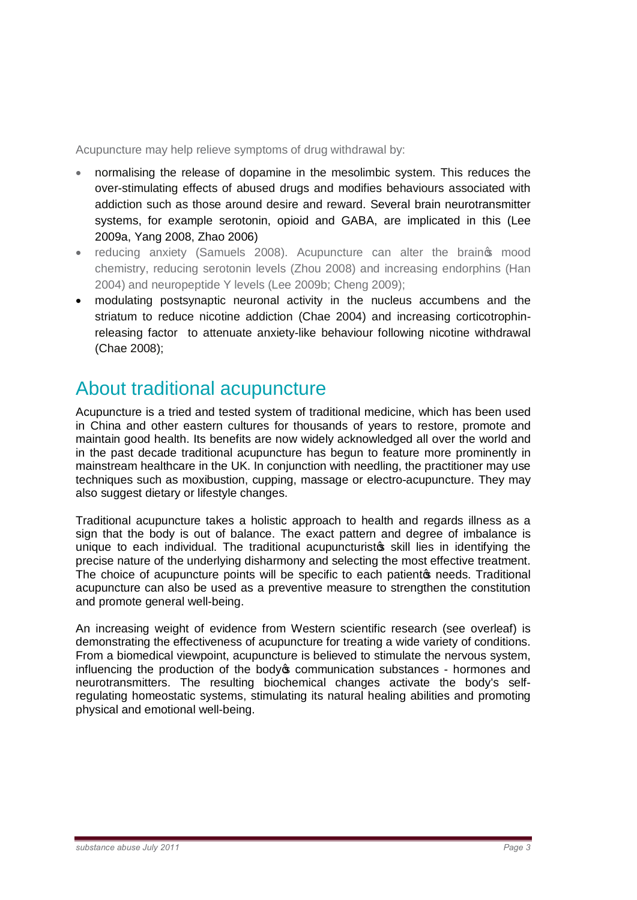Acupuncture may help relieve symptoms of drug withdrawal by:

- · normalising the release of dopamine in the mesolimbic system. This reduces the over-stimulating effects of abused drugs and modifies behaviours associated with addiction such as those around desire and reward. Several brain neurotransmitter systems, for example serotonin, opioid and GABA, are implicated in this (Lee 2009a, Yang 2008, Zhao 2006)
- reducing anxiety (Samuels 2008). Acupuncture can alter the braings mood chemistry, reducing serotonin levels (Zhou 2008) and increasing endorphins (Han 2004) and neuropeptide Y levels (Lee 2009b; Cheng 2009);
- · modulating postsynaptic neuronal activity in the nucleus accumbens and the striatum to reduce nicotine addiction (Chae 2004) and increasing corticotrophinreleasing factor to attenuate anxiety-like behaviour following nicotine withdrawal (Chae 2008);

## About traditional acupuncture

Acupuncture is a tried and tested system of traditional medicine, which has been used in China and other eastern cultures for thousands of years to restore, promote and maintain good health. Its benefits are now widely acknowledged all over the world and in the past decade traditional acupuncture has begun to feature more prominently in mainstream healthcare in the UK. In conjunction with needling, the practitioner may use techniques such as moxibustion, cupping, massage or electro-acupuncture. They may also suggest dietary or lifestyle changes.

Traditional acupuncture takes a holistic approach to health and regards illness as a sign that the body is out of balance. The exact pattern and degree of imbalance is unique to each individual. The traditional acupuncturistos skill lies in identifying the precise nature of the underlying disharmony and selecting the most effective treatment. The choice of acupuncture points will be specific to each patient of needs. Traditional acupuncture can also be used as a preventive measure to strengthen the constitution and promote general well-being.

An increasing weight of evidence from Western scientific research (see overleaf) is demonstrating the effectiveness of acupuncture for treating a wide variety of conditions. From a biomedical viewpoint, acupuncture is believed to stimulate the nervous system, influencing the production of the body to communication substances - hormones and neurotransmitters. The resulting biochemical changes activate the body's selfregulating homeostatic systems, stimulating its natural healing abilities and promoting physical and emotional well-being.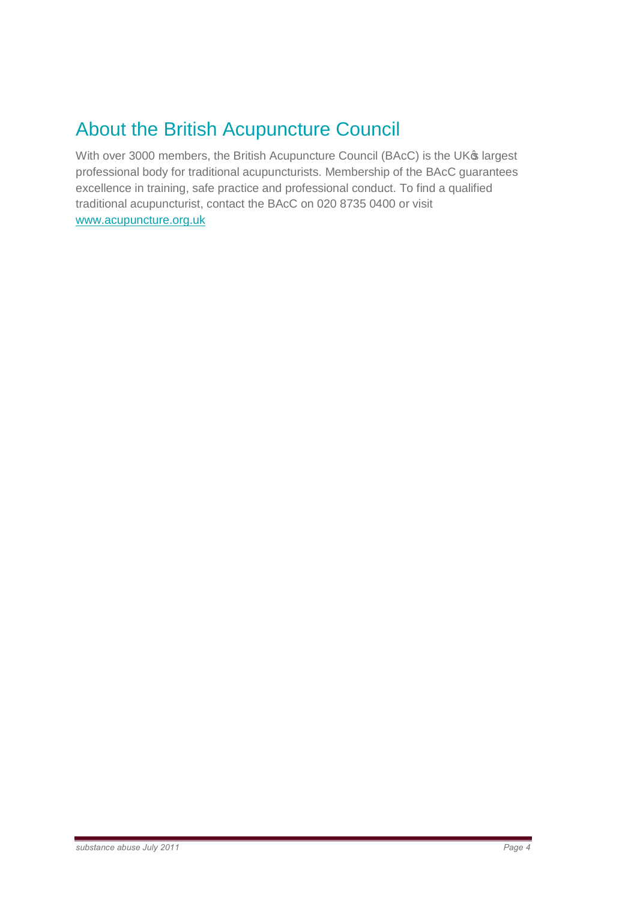## About the British Acupuncture Council

With over 3000 members, the British Acupuncture Council (BAcC) is the UK® largest professional body for traditional acupuncturists. Membership of the BAcC guarantees excellence in training, safe practice and professional conduct. To find a qualified traditional acupuncturist, contact the BAcC on 020 8735 0400 or visit www.acupuncture.org.uk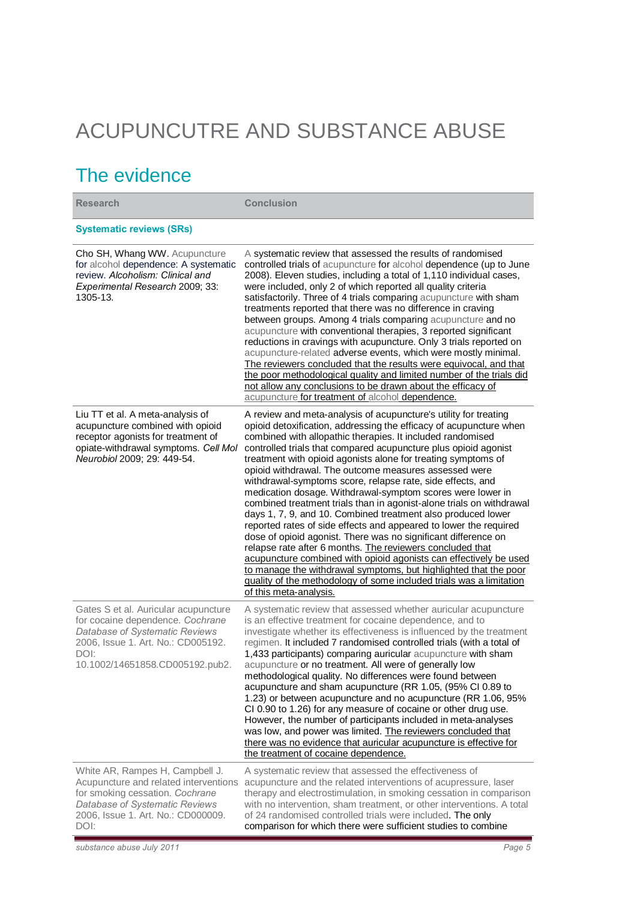# ACUPUNCUTRE AND SUBSTANCE ABUSE

# The evidence

| <b>Research</b>                                                                                                                                                                             | <b>Conclusion</b>                                                                                                                                                                                                                                                                                                                                                                                                                                                                                                                                                                                                                                                                                                                                                                                                                                                                                                                                                                                                                                                                                                   |
|---------------------------------------------------------------------------------------------------------------------------------------------------------------------------------------------|---------------------------------------------------------------------------------------------------------------------------------------------------------------------------------------------------------------------------------------------------------------------------------------------------------------------------------------------------------------------------------------------------------------------------------------------------------------------------------------------------------------------------------------------------------------------------------------------------------------------------------------------------------------------------------------------------------------------------------------------------------------------------------------------------------------------------------------------------------------------------------------------------------------------------------------------------------------------------------------------------------------------------------------------------------------------------------------------------------------------|
| <b>Systematic reviews (SRs)</b>                                                                                                                                                             |                                                                                                                                                                                                                                                                                                                                                                                                                                                                                                                                                                                                                                                                                                                                                                                                                                                                                                                                                                                                                                                                                                                     |
| Cho SH, Whang WW. Acupuncture<br>for alcohol dependence: A systematic<br>review. Alcoholism: Clinical and<br>Experimental Research 2009; 33:<br>1305-13.                                    | A systematic review that assessed the results of randomised<br>controlled trials of acupuncture for alcohol dependence (up to June<br>2008). Eleven studies, including a total of 1,110 individual cases,<br>were included, only 2 of which reported all quality criteria<br>satisfactorily. Three of 4 trials comparing acupuncture with sham<br>treatments reported that there was no difference in craving<br>between groups. Among 4 trials comparing acupuncture and no<br>acupuncture with conventional therapies, 3 reported significant<br>reductions in cravings with acupuncture. Only 3 trials reported on<br>acupuncture-related adverse events, which were mostly minimal.<br>The reviewers concluded that the results were equivocal, and that<br>the poor methodological quality and limited number of the trials did<br>not allow any conclusions to be drawn about the efficacy of<br>acupuncture for treatment of alcohol dependence.                                                                                                                                                             |
| Liu TT et al. A meta-analysis of<br>acupuncture combined with opioid<br>receptor agonists for treatment of<br>opiate-withdrawal symptoms. Cell Mol<br>Neurobiol 2009; 29: 449-54.           | A review and meta-analysis of acupuncture's utility for treating<br>opioid detoxification, addressing the efficacy of acupuncture when<br>combined with allopathic therapies. It included randomised<br>controlled trials that compared acupuncture plus opioid agonist<br>treatment with opioid agonists alone for treating symptoms of<br>opioid withdrawal. The outcome measures assessed were<br>withdrawal-symptoms score, relapse rate, side effects, and<br>medication dosage. Withdrawal-symptom scores were lower in<br>combined treatment trials than in agonist-alone trials on withdrawal<br>days 1, 7, 9, and 10. Combined treatment also produced lower<br>reported rates of side effects and appeared to lower the required<br>dose of opioid agonist. There was no significant difference on<br>relapse rate after 6 months. The reviewers concluded that<br>acupuncture combined with opioid agonists can effectively be used<br>to manage the withdrawal symptoms, but highlighted that the poor<br>quality of the methodology of some included trials was a limitation<br>of this meta-analysis. |
| Gates S et al. Auricular acupuncture<br>for cocaine dependence. Cochrane<br>Database of Systematic Reviews<br>2006, Issue 1. Art. No.: CD005192.<br>DOI:<br>10.1002/14651858.CD005192.pub2. | A systematic review that assessed whether auricular acupuncture<br>is an effective treatment for cocaine dependence, and to<br>investigate whether its effectiveness is influenced by the treatment<br>regimen. It included 7 randomised controlled trials (with a total of<br>1,433 participants) comparing auricular acupuncture with sham<br>acupuncture or no treatment. All were of generally low<br>methodological quality. No differences were found between<br>acupuncture and sham acupuncture (RR 1.05, (95% CI 0.89 to<br>1.23) or between acupuncture and no acupuncture (RR 1.06, 95%<br>CI 0.90 to 1.26) for any measure of cocaine or other drug use.<br>However, the number of participants included in meta-analyses<br>was low, and power was limited. The reviewers concluded that<br>there was no evidence that auricular acupuncture is effective for<br>the treatment of cocaine dependence.                                                                                                                                                                                                  |
| White AR, Rampes H, Campbell J.<br>Acupuncture and related interventions<br>for smoking cessation. Cochrane<br>Database of Systematic Reviews<br>2006, Issue 1. Art. No.: CD000009.<br>DOI: | A systematic review that assessed the effectiveness of<br>acupuncture and the related interventions of acupressure, laser<br>therapy and electrostimulation, in smoking cessation in comparison<br>with no intervention, sham treatment, or other interventions. A total<br>of 24 randomised controlled trials were included. The only<br>comparison for which there were sufficient studies to combine                                                                                                                                                                                                                                                                                                                                                                                                                                                                                                                                                                                                                                                                                                             |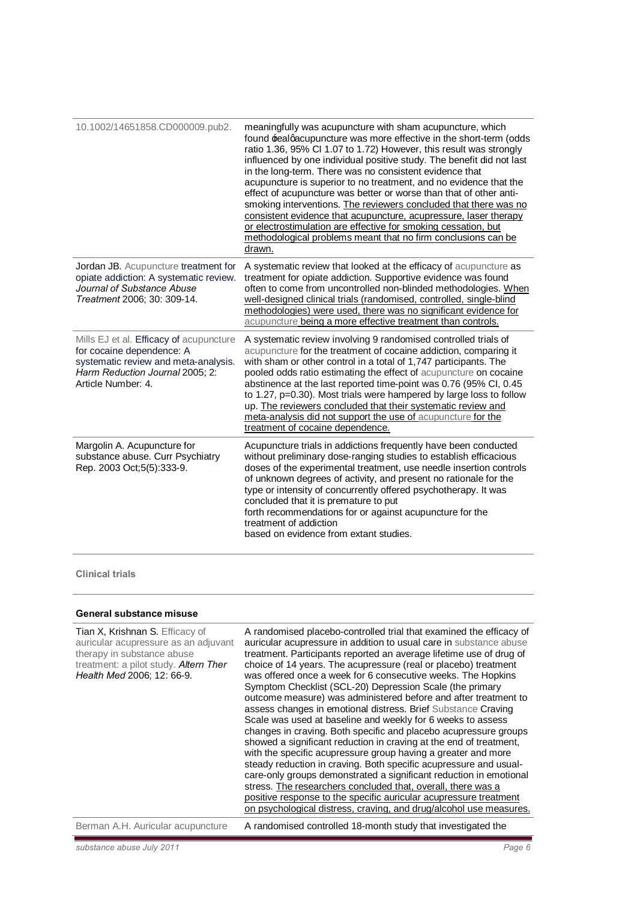| 10.1002/14651858.CD000009.pub2.                                                                                                                                       | meaningfully was acupuncture with sham acupuncture, which<br>found realgacupuncture was more effective in the short-term (odds<br>ratio 1.36, 95% CI 1.07 to 1.72) However, this result was strongly<br>influenced by one individual positive study. The benefit did not last<br>in the long-term. There was no consistent evidence that<br>acupuncture is superior to no treatment, and no evidence that the<br>effect of acupuncture was better or worse than that of other anti-<br>smoking interventions. The reviewers concluded that there was no<br>consistent evidence that acupuncture, acupressure, laser therapy<br>or electrostimulation are effective for smoking cessation, but<br>methodological problems meant that no firm conclusions can be<br>drawn. |
|-----------------------------------------------------------------------------------------------------------------------------------------------------------------------|--------------------------------------------------------------------------------------------------------------------------------------------------------------------------------------------------------------------------------------------------------------------------------------------------------------------------------------------------------------------------------------------------------------------------------------------------------------------------------------------------------------------------------------------------------------------------------------------------------------------------------------------------------------------------------------------------------------------------------------------------------------------------|
| Jordan JB. Acupuncture treatment for<br>opiate addiction: A systematic review.<br>Journal of Substance Abuse<br>Treatment 2006; 30: 309-14.                           | A systematic review that looked at the efficacy of acupuncture as<br>treatment for opiate addiction. Supportive evidence was found<br>often to come from uncontrolled non-blinded methodologies. When<br>well-designed clinical trials (randomised, controlled, single-blind<br>methodologies) were used, there was no significant evidence for<br>acupuncture being a more effective treatment than controls.                                                                                                                                                                                                                                                                                                                                                           |
| Mills EJ et al. Efficacy of acupuncture<br>for cocaine dependence: A<br>systematic review and meta-analysis.<br>Harm Reduction Journal 2005: 2:<br>Article Number: 4. | A systematic review involving 9 randomised controlled trials of<br>acupuncture for the treatment of cocaine addiction, comparing it<br>with sham or other control in a total of 1,747 participants. The<br>pooled odds ratio estimating the effect of acupuncture on cocaine<br>abstinence at the last reported time-point was 0.76 (95% CI, 0.45<br>to 1.27, p=0.30). Most trials were hampered by large loss to follow<br>up. The reviewers concluded that their systematic review and<br>meta-analysis did not support the use of acupuncture for the<br>treatment of cocaine dependence.                                                                                                                                                                             |
| Margolin A. Acupuncture for<br>substance abuse. Curr Psychiatry<br>Rep. 2003 Oct; 5(5): 333-9.                                                                        | Acupuncture trials in addictions frequently have been conducted<br>without preliminary dose-ranging studies to establish efficacious<br>doses of the experimental treatment, use needle insertion controls<br>of unknown degrees of activity, and present no rationale for the<br>type or intensity of concurrently offered psychotherapy. It was<br>concluded that it is premature to put<br>forth recommendations for or against acupuncture for the<br>treatment of addiction<br>based on evidence from extant studies.                                                                                                                                                                                                                                               |

### **Clinical trials**

### **General substance misuse**

| Tian X, Krishnan S. Efficacy of<br>auricular acupressure as an adjuvant<br>therapy in substance abuse<br>treatment: a pilot study. Altern Ther<br>Health Med 2006; 12: 66-9. | A randomised placebo-controlled trial that examined the efficacy of<br>auricular acupressure in addition to usual care in substance abuse<br>treatment. Participants reported an average lifetime use of drug of<br>choice of 14 years. The acupressure (real or placebo) treatment<br>was offered once a week for 6 consecutive weeks. The Hopkins<br>Symptom Checklist (SCL-20) Depression Scale (the primary<br>outcome measure) was administered before and after treatment to<br>assess changes in emotional distress. Brief Substance Craving<br>Scale was used at baseline and weekly for 6 weeks to assess<br>changes in craving. Both specific and placebo acupressure groups<br>showed a significant reduction in craving at the end of treatment,<br>with the specific acupressure group having a greater and more<br>steady reduction in craving. Both specific acupressure and usual-<br>care-only groups demonstrated a significant reduction in emotional<br>stress. The researchers concluded that, overall, there was a<br>positive response to the specific auricular acupressure treatment<br>on psychological distress, craving, and drug/alcohol use measures. |
|------------------------------------------------------------------------------------------------------------------------------------------------------------------------------|-------------------------------------------------------------------------------------------------------------------------------------------------------------------------------------------------------------------------------------------------------------------------------------------------------------------------------------------------------------------------------------------------------------------------------------------------------------------------------------------------------------------------------------------------------------------------------------------------------------------------------------------------------------------------------------------------------------------------------------------------------------------------------------------------------------------------------------------------------------------------------------------------------------------------------------------------------------------------------------------------------------------------------------------------------------------------------------------------------------------------------------------------------------------------------------|
| Berman A.H. Auricular acupuncture                                                                                                                                            | A randomised controlled 18-month study that investigated the                                                                                                                                                                                                                                                                                                                                                                                                                                                                                                                                                                                                                                                                                                                                                                                                                                                                                                                                                                                                                                                                                                                        |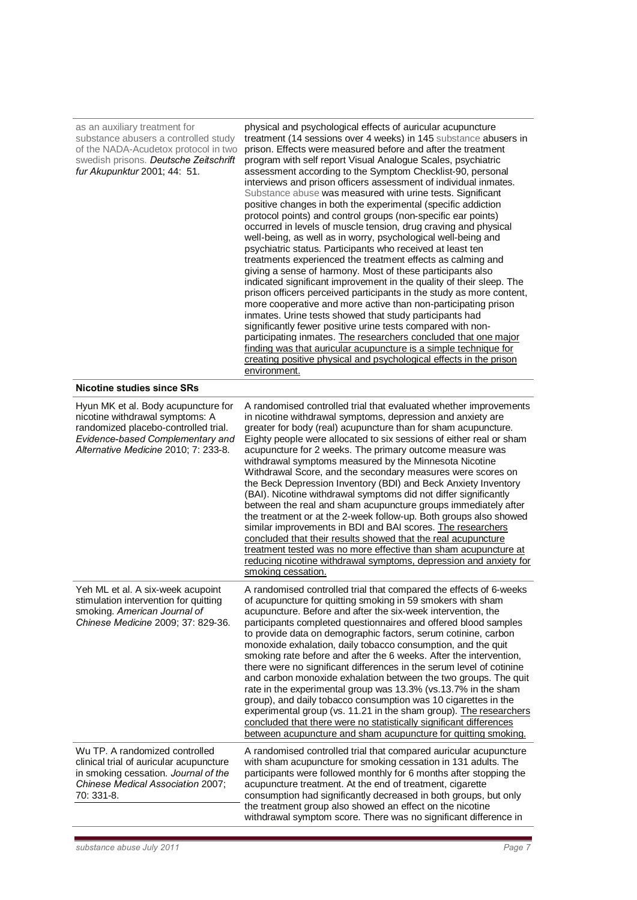| as an auxiliary treatment for<br>substance abusers a controlled study<br>of the NADA-Acudetox protocol in two<br>swedish prisons. Deutsche Zeitschrift<br>fur Akupunktur 2001; 44: 51.     | physical and psychological effects of auricular acupuncture<br>treatment (14 sessions over 4 weeks) in 145 substance abusers in<br>prison. Effects were measured before and after the treatment<br>program with self report Visual Analogue Scales, psychiatric<br>assessment according to the Symptom Checklist-90, personal<br>interviews and prison officers assessment of individual inmates.<br>Substance abuse was measured with urine tests. Significant<br>positive changes in both the experimental (specific addiction<br>protocol points) and control groups (non-specific ear points)<br>occurred in levels of muscle tension, drug craving and physical<br>well-being, as well as in worry, psychological well-being and<br>psychiatric status. Participants who received at least ten<br>treatments experienced the treatment effects as calming and<br>giving a sense of harmony. Most of these participants also<br>indicated significant improvement in the quality of their sleep. The<br>prison officers perceived participants in the study as more content,<br>more cooperative and more active than non-participating prison<br>inmates. Urine tests showed that study participants had<br>significantly fewer positive urine tests compared with non-<br>participating inmates. The researchers concluded that one major<br>finding was that auricular acupuncture is a simple technique for<br>creating positive physical and psychological effects in the prison<br>environment. |
|--------------------------------------------------------------------------------------------------------------------------------------------------------------------------------------------|-----------------------------------------------------------------------------------------------------------------------------------------------------------------------------------------------------------------------------------------------------------------------------------------------------------------------------------------------------------------------------------------------------------------------------------------------------------------------------------------------------------------------------------------------------------------------------------------------------------------------------------------------------------------------------------------------------------------------------------------------------------------------------------------------------------------------------------------------------------------------------------------------------------------------------------------------------------------------------------------------------------------------------------------------------------------------------------------------------------------------------------------------------------------------------------------------------------------------------------------------------------------------------------------------------------------------------------------------------------------------------------------------------------------------------------------------------------------------------------------------------------|
| Nicotine studies since SRs                                                                                                                                                                 |                                                                                                                                                                                                                                                                                                                                                                                                                                                                                                                                                                                                                                                                                                                                                                                                                                                                                                                                                                                                                                                                                                                                                                                                                                                                                                                                                                                                                                                                                                           |
| Hyun MK et al. Body acupuncture for<br>nicotine withdrawal symptoms: A<br>randomized placebo-controlled trial.<br>Evidence-based Complementary and<br>Alternative Medicine 2010; 7: 233-8. | A randomised controlled trial that evaluated whether improvements<br>in nicotine withdrawal symptoms, depression and anxiety are<br>greater for body (real) acupuncture than for sham acupuncture.<br>Eighty people were allocated to six sessions of either real or sham<br>acupuncture for 2 weeks. The primary outcome measure was<br>withdrawal symptoms measured by the Minnesota Nicotine<br>Withdrawal Score, and the secondary measures were scores on<br>the Beck Depression Inventory (BDI) and Beck Anxiety Inventory<br>(BAI). Nicotine withdrawal symptoms did not differ significantly<br>between the real and sham acupuncture groups immediately after<br>the treatment or at the 2-week follow-up. Both groups also showed<br>similar improvements in BDI and BAI scores. The researchers<br>concluded that their results showed that the real acupuncture<br>treatment tested was no more effective than sham acupuncture at<br>reducing nicotine withdrawal symptoms, depression and anxiety for<br>smoking cessation.                                                                                                                                                                                                                                                                                                                                                                                                                                                                 |
| Yeh ML et al. A six-week acupoint<br>stimulation intervention for quitting<br>smoking. American Journal of<br>Chinese Medicine 2009; 37: 829-36.                                           | A randomised controlled trial that compared the effects of 6-weeks<br>of acupuncture for quitting smoking in 59 smokers with sham<br>acupuncture. Before and after the six-week intervention, the<br>participants completed questionnaires and offered blood samples<br>to provide data on demographic factors, serum cotinine, carbon<br>monoxide exhalation, daily tobacco consumption, and the quit<br>smoking rate before and after the 6 weeks. After the intervention,<br>there were no significant differences in the serum level of cotinine<br>and carbon monoxide exhalation between the two groups. The quit<br>rate in the experimental group was 13.3% (vs.13.7% in the sham<br>group), and daily tobacco consumption was 10 cigarettes in the<br>experimental group (vs. 11.21 in the sham group). The researchers<br>concluded that there were no statistically significant differences<br>between acupuncture and sham acupuncture for quitting smoking.                                                                                                                                                                                                                                                                                                                                                                                                                                                                                                                                  |
| Wu TP. A randomized controlled<br>clinical trial of auricular acupuncture<br>in smoking cessation. Journal of the<br>Chinese Medical Association 2007;<br>70: 331-8.                       | A randomised controlled trial that compared auricular acupuncture<br>with sham acupuncture for smoking cessation in 131 adults. The<br>participants were followed monthly for 6 months after stopping the<br>acupuncture treatment. At the end of treatment, cigarette<br>consumption had significantly decreased in both groups, but only<br>the treatment group also showed an effect on the nicotine<br>withdrawal symptom score. There was no significant difference in                                                                                                                                                                                                                                                                                                                                                                                                                                                                                                                                                                                                                                                                                                                                                                                                                                                                                                                                                                                                                               |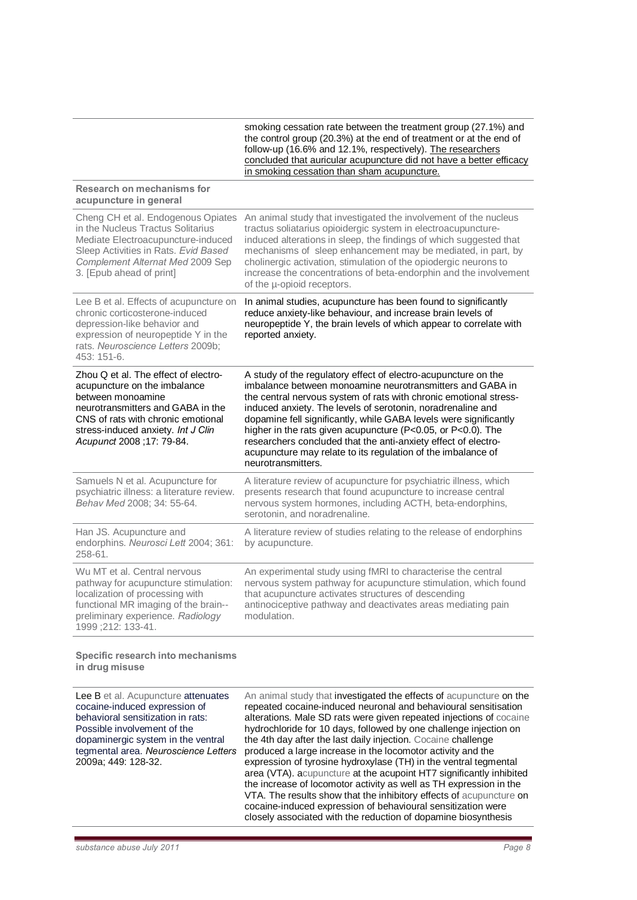smoking cessation rate between the treatment group (27.1%) and the control group (20.3%) at the end of treatment or at the end of follow-up (16.6% and 12.1%, respectively). The researchers concluded that auricular acupuncture did not have a better efficacy in smoking cessation than sham acupuncture.

#### **Research on mechanisms for acupuncture in general**

| An animal study that investigated the involvement of the nucleus<br>tractus soliatarius opioidergic system in electroacupuncture-<br>induced alterations in sleep, the findings of which suggested that<br>mechanisms of sleep enhancement may be mediated, in part, by<br>cholinergic activation, stimulation of the opiodergic neurons to<br>increase the concentrations of beta-endorphin and the involvement<br>of the u-opioid receptors.                                                                                                               |
|--------------------------------------------------------------------------------------------------------------------------------------------------------------------------------------------------------------------------------------------------------------------------------------------------------------------------------------------------------------------------------------------------------------------------------------------------------------------------------------------------------------------------------------------------------------|
| In animal studies, acupuncture has been found to significantly<br>reduce anxiety-like behaviour, and increase brain levels of<br>neuropeptide Y, the brain levels of which appear to correlate with<br>reported anxiety.                                                                                                                                                                                                                                                                                                                                     |
| A study of the regulatory effect of electro-acupuncture on the<br>imbalance between monoamine neurotransmitters and GABA in<br>the central nervous system of rats with chronic emotional stress-<br>induced anxiety. The levels of serotonin, noradrenaline and<br>dopamine fell significantly, while GABA levels were significantly<br>higher in the rats given acupuncture (P<0.05, or P<0.0). The<br>researchers concluded that the anti-anxiety effect of electro-<br>acupuncture may relate to its regulation of the imbalance of<br>neurotransmitters. |
| A literature review of acupuncture for psychiatric illness, which<br>presents research that found acupuncture to increase central<br>nervous system hormones, including ACTH, beta-endorphins,<br>serotonin, and noradrenaline.                                                                                                                                                                                                                                                                                                                              |
| A literature review of studies relating to the release of endorphins<br>by acupuncture.                                                                                                                                                                                                                                                                                                                                                                                                                                                                      |
| An experimental study using fMRI to characterise the central<br>nervous system pathway for acupuncture stimulation, which found<br>that acupuncture activates structures of descending<br>antinociceptive pathway and deactivates areas mediating pain<br>modulation.                                                                                                                                                                                                                                                                                        |
|                                                                                                                                                                                                                                                                                                                                                                                                                                                                                                                                                              |

**Specific research into mechanisms in drug misuse**

Lee B et al. Acupuncture attenuates cocaine-induced expression of behavioral sensitization in rats: Possible involvement of the dopaminergic system in the ventral tegmental area. *Neuroscience Letters*  2009a; 449: 128-32.

An animal study that investigated the effects of acupuncture on the repeated cocaine-induced neuronal and behavioural sensitisation alterations. Male SD rats were given repeated injections of cocaine hydrochloride for 10 days, followed by one challenge injection on the 4th day after the last daily injection. Cocaine challenge produced a large increase in the locomotor activity and the expression of tyrosine hydroxylase (TH) in the ventral tegmental area (VTA). acupuncture at the acupoint HT7 significantly inhibited the increase of locomotor activity as well as TH expression in the VTA. The results show that the inhibitory effects of acupuncture on cocaine-induced expression of behavioural sensitization were closely associated with the reduction of dopamine biosynthesis